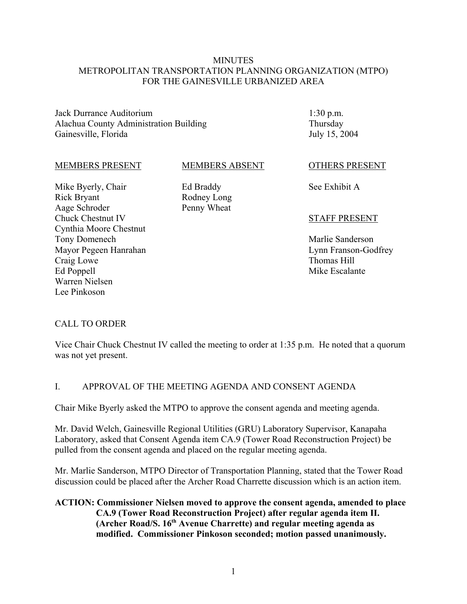#### **MINUTES** METROPOLITAN TRANSPORTATION PLANNING ORGANIZATION (MTPO) FOR THE GAINESVILLE URBANIZED AREA

MEMBERS ABSENT

Jack Durrance Auditorium Alachua County Administration Building Gainesville, Florida

1:30 p.m. Thursday July 15, 2004

#### MEMBERS PRESENT

Mike Byerly, Chair

Tony Domenech

Craig Lowe Ed Poppell Warren Nielsen Lee Pinkoson

Mayor Pegeen Hanrahan

Rick Bryant Aage Schroder Chuck Chestnut IV Cynthia Moore Chestnut Ed Braddy Rodney Long Penny Wheat

#### OTHERS PRESENT

See Exhibit A

#### STAFF PRESENT

Marlie Sanderson Lynn Franson-Godfrey Thomas Hill Mike Escalante

#### CALL TO ORDER

Vice Chair Chuck Chestnut IV called the meeting to order at 1:35 p.m. He noted that a quorum was not yet present.

#### I. APPROVAL OF THE MEETING AGENDA AND CONSENT AGENDA

Chair Mike Byerly asked the MTPO to approve the consent agenda and meeting agenda.

Mr. David Welch, Gainesville Regional Utilities (GRU) Laboratory Supervisor, Kanapaha Laboratory, asked that Consent Agenda item CA.9 (Tower Road Reconstruction Project) be pulled from the consent agenda and placed on the regular meeting agenda.

Mr. Marlie Sanderson, MTPO Director of Transportation Planning, stated that the Tower Road discussion could be placed after the Archer Road Charrette discussion which is an action item.

#### **ACTION: Commissioner Nielsen moved to approve the consent agenda, amended to place CA.9 (Tower Road Reconstruction Project) after regular agenda item II. (Archer Road/S. 16th Avenue Charrette) and regular meeting agenda as modified. Commissioner Pinkoson seconded; motion passed unanimously.**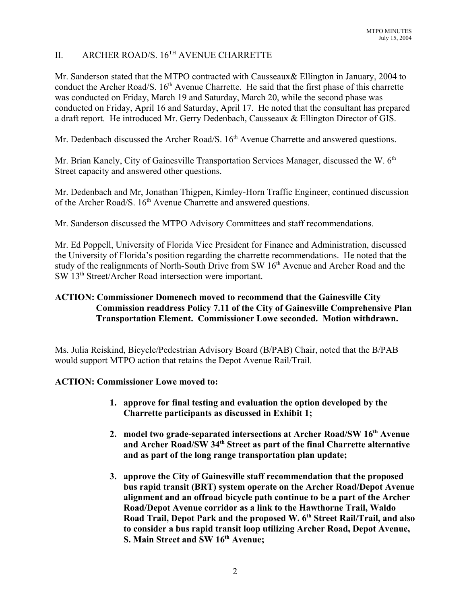## II. ARCHER ROAD/S. 16TH AVENUE CHARRETTE

Mr. Sanderson stated that the MTPO contracted with Causseaux& Ellington in January, 2004 to conduct the Archer Road/S. 16<sup>th</sup> Avenue Charrette. He said that the first phase of this charrette was conducted on Friday, March 19 and Saturday, March 20, while the second phase was conducted on Friday, April 16 and Saturday, April 17. He noted that the consultant has prepared a draft report. He introduced Mr. Gerry Dedenbach, Causseaux & Ellington Director of GIS.

Mr. Dedenbach discussed the Archer Road/S. 16<sup>th</sup> Avenue Charrette and answered questions.

Mr. Brian Kanely, City of Gainesville Transportation Services Manager, discussed the W. 6<sup>th</sup> Street capacity and answered other questions.

Mr. Dedenbach and Mr, Jonathan Thigpen, Kimley-Horn Traffic Engineer, continued discussion of the Archer Road/S. 16<sup>th</sup> Avenue Charrette and answered questions.

Mr. Sanderson discussed the MTPO Advisory Committees and staff recommendations.

Mr. Ed Poppell, University of Florida Vice President for Finance and Administration, discussed the University of Florida's position regarding the charrette recommendations. He noted that the study of the realignments of North-South Drive from SW 16<sup>th</sup> Avenue and Archer Road and the SW 13th Street/Archer Road intersection were important.

## **ACTION: Commissioner Domenech moved to recommend that the Gainesville City Commission readdress Policy 7.11 of the City of Gainesville Comprehensive Plan Transportation Element. Commissioner Lowe seconded. Motion withdrawn.**

Ms. Julia Reiskind, Bicycle/Pedestrian Advisory Board (B/PAB) Chair, noted that the B/PAB would support MTPO action that retains the Depot Avenue Rail/Trail.

#### **ACTION: Commissioner Lowe moved to:**

- **1. approve for final testing and evaluation the option developed by the Charrette participants as discussed in Exhibit 1;**
- 2. model two grade-separated intersections at Archer Road/SW 16<sup>th</sup> Avenue **and Archer Road/SW 34th Street as part of the final Charrette alternative and as part of the long range transportation plan update;**
- **3. approve the City of Gainesville staff recommendation that the proposed bus rapid transit (BRT) system operate on the Archer Road/Depot Avenue alignment and an offroad bicycle path continue to be a part of the Archer Road/Depot Avenue corridor as a link to the Hawthorne Trail, Waldo** Road Trail, Depot Park and the proposed W. 6<sup>th</sup> Street Rail/Trail, and also **to consider a bus rapid transit loop utilizing Archer Road, Depot Avenue, S. Main Street and SW 16<sup>th</sup> Avenue;**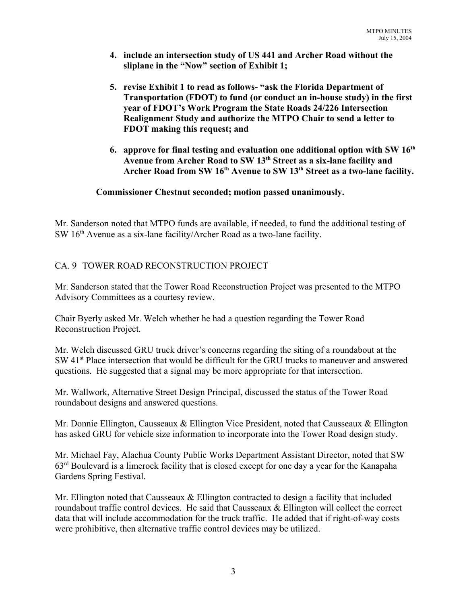- **4. include an intersection study of US 441 and Archer Road without the sliplane in the "Now" section of Exhibit 1;**
- **5. revise Exhibit 1 to read as follows- "ask the Florida Department of Transportation (FDOT) to fund (or conduct an in-house study) in the first year of FDOT's Work Program the State Roads 24/226 Intersection Realignment Study and authorize the MTPO Chair to send a letter to FDOT making this request; and**
- **6. approve for final testing and evaluation one additional option with SW 16th Avenue from Archer Road to SW 13th Street as a six-lane facility and** Archer Road from SW 16<sup>th</sup> Avenue to SW 13<sup>th</sup> Street as a two-lane facility.

### **Commissioner Chestnut seconded; motion passed unanimously.**

Mr. Sanderson noted that MTPO funds are available, if needed, to fund the additional testing of SW 16<sup>th</sup> Avenue as a six-lane facility/Archer Road as a two-lane facility.

## CA. 9 TOWER ROAD RECONSTRUCTION PROJECT

Mr. Sanderson stated that the Tower Road Reconstruction Project was presented to the MTPO Advisory Committees as a courtesy review.

Chair Byerly asked Mr. Welch whether he had a question regarding the Tower Road Reconstruction Project.

Mr. Welch discussed GRU truck driver's concerns regarding the siting of a roundabout at the SW 41<sup>st</sup> Place intersection that would be difficult for the GRU trucks to maneuver and answered questions. He suggested that a signal may be more appropriate for that intersection.

Mr. Wallwork, Alternative Street Design Principal, discussed the status of the Tower Road roundabout designs and answered questions.

Mr. Donnie Ellington, Causseaux & Ellington Vice President, noted that Causseaux & Ellington has asked GRU for vehicle size information to incorporate into the Tower Road design study.

Mr. Michael Fay, Alachua County Public Works Department Assistant Director, noted that SW 63rd Boulevard is a limerock facility that is closed except for one day a year for the Kanapaha Gardens Spring Festival.

Mr. Ellington noted that Causseaux & Ellington contracted to design a facility that included roundabout traffic control devices. He said that Causseaux & Ellington will collect the correct data that will include accommodation for the truck traffic. He added that if right-of-way costs were prohibitive, then alternative traffic control devices may be utilized.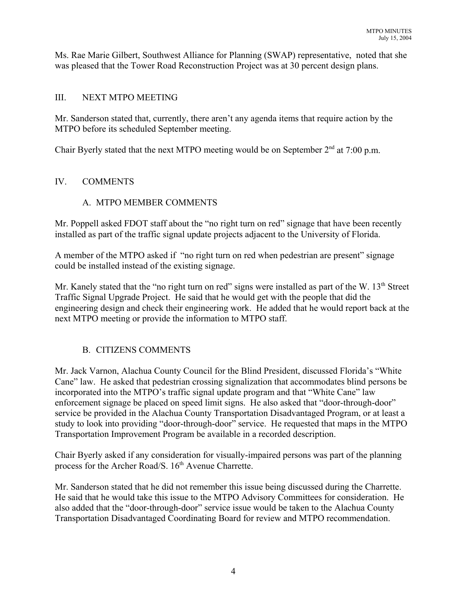Ms. Rae Marie Gilbert, Southwest Alliance for Planning (SWAP) representative, noted that she was pleased that the Tower Road Reconstruction Project was at 30 percent design plans.

## III. NEXT MTPO MEETING

Mr. Sanderson stated that, currently, there aren't any agenda items that require action by the MTPO before its scheduled September meeting.

Chair Byerly stated that the next MTPO meeting would be on September  $2<sup>nd</sup>$  at 7:00 p.m.

## IV. COMMENTS

## A. MTPO MEMBER COMMENTS

Mr. Poppell asked FDOT staff about the "no right turn on red" signage that have been recently installed as part of the traffic signal update projects adjacent to the University of Florida.

A member of the MTPO asked if "no right turn on red when pedestrian are present" signage could be installed instead of the existing signage.

Mr. Kanely stated that the "no right turn on red" signs were installed as part of the W. 13<sup>th</sup> Street Traffic Signal Upgrade Project. He said that he would get with the people that did the engineering design and check their engineering work. He added that he would report back at the next MTPO meeting or provide the information to MTPO staff.

## B. CITIZENS COMMENTS

Mr. Jack Varnon, Alachua County Council for the Blind President, discussed Florida's "White Cane" law. He asked that pedestrian crossing signalization that accommodates blind persons be incorporated into the MTPO's traffic signal update program and that "White Cane" law enforcement signage be placed on speed limit signs. He also asked that "door-through-door" service be provided in the Alachua County Transportation Disadvantaged Program, or at least a study to look into providing "door-through-door" service. He requested that maps in the MTPO Transportation Improvement Program be available in a recorded description.

Chair Byerly asked if any consideration for visually-impaired persons was part of the planning process for the Archer Road/S. 16<sup>th</sup> Avenue Charrette.

Mr. Sanderson stated that he did not remember this issue being discussed during the Charrette. He said that he would take this issue to the MTPO Advisory Committees for consideration. He also added that the "door-through-door" service issue would be taken to the Alachua County Transportation Disadvantaged Coordinating Board for review and MTPO recommendation.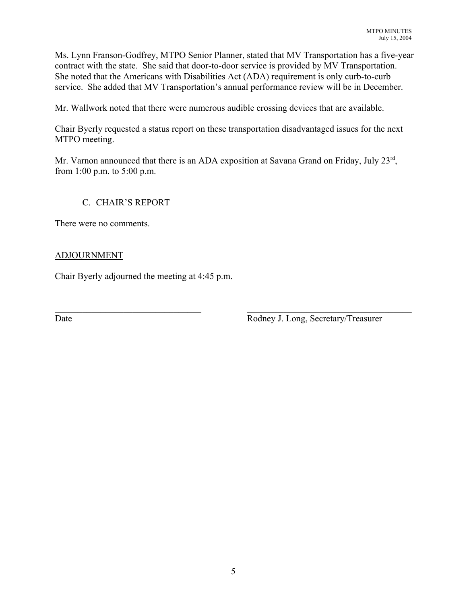Ms. Lynn Franson-Godfrey, MTPO Senior Planner, stated that MV Transportation has a five-year contract with the state. She said that door-to-door service is provided by MV Transportation. She noted that the Americans with Disabilities Act (ADA) requirement is only curb-to-curb service. She added that MV Transportation's annual performance review will be in December.

Mr. Wallwork noted that there were numerous audible crossing devices that are available.

Chair Byerly requested a status report on these transportation disadvantaged issues for the next MTPO meeting.

Mr. Varnon announced that there is an ADA exposition at Savana Grand on Friday, July 23<sup>rd</sup>, from 1:00 p.m. to 5:00 p.m.

 $\mathcal{L}_\text{max}$  , and the contribution of the contribution of the contribution of the contribution of the contribution of the contribution of the contribution of the contribution of the contribution of the contribution of t

## C. CHAIR'S REPORT

There were no comments.

### ADJOURNMENT

Chair Byerly adjourned the meeting at 4:45 p.m.

Date Rodney J. Long, Secretary/Treasurer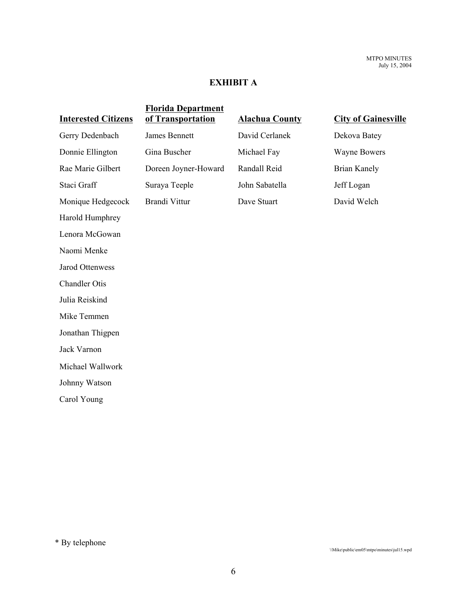## **EXHIBIT A**

|                            | <b>Florida Department</b> |                       |                            |
|----------------------------|---------------------------|-----------------------|----------------------------|
| <b>Interested Citizens</b> | of Transportation         | <b>Alachua County</b> | <b>City of Gainesville</b> |
| Gerry Dedenbach            | James Bennett             | David Cerlanek        | Dekova Batey               |
| Donnie Ellington           | Gina Buscher              | Michael Fay           | <b>Wayne Bowers</b>        |
| Rae Marie Gilbert          | Doreen Joyner-Howard      | Randall Reid          | <b>Brian Kanely</b>        |
| Staci Graff                | Suraya Teeple             | John Sabatella        | Jeff Logan                 |
| Monique Hedgecock          | Brandi Vittur             | Dave Stuart           | David Welch                |
| Harold Humphrey            |                           |                       |                            |
| Lenora McGowan             |                           |                       |                            |
| Naomi Menke                |                           |                       |                            |
| Jarod Ottenwess            |                           |                       |                            |
| <b>Chandler Otis</b>       |                           |                       |                            |
| Julia Reiskind             |                           |                       |                            |
| Mike Temmen                |                           |                       |                            |
| Jonathan Thigpen           |                           |                       |                            |
| Jack Varnon                |                           |                       |                            |
| Michael Wallwork           |                           |                       |                            |
| Johnny Watson              |                           |                       |                            |
| Carol Young                |                           |                       |                            |
|                            |                           |                       |                            |

\* By telephone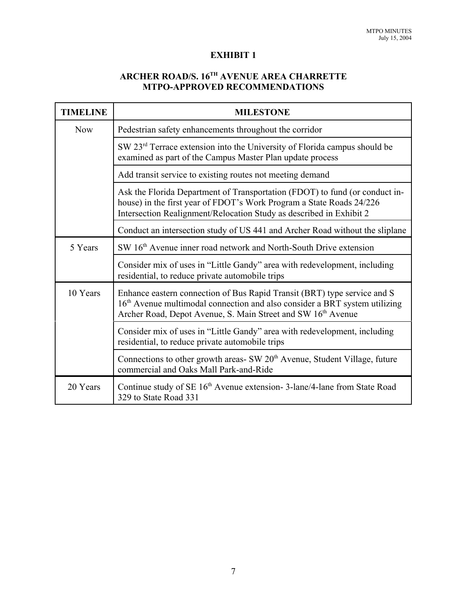## **EXHIBIT 1**

# **ARCHER ROAD/S. 16TH AVENUE AREA CHARRETTE MTPO-APPROVED RECOMMENDATIONS**

| <b>TIMELINE</b> | <b>MILESTONE</b>                                                                                                                                                                                                                   |  |  |
|-----------------|------------------------------------------------------------------------------------------------------------------------------------------------------------------------------------------------------------------------------------|--|--|
| <b>Now</b>      | Pedestrian safety enhancements throughout the corridor                                                                                                                                                                             |  |  |
|                 | SW 23 <sup>rd</sup> Terrace extension into the University of Florida campus should be<br>examined as part of the Campus Master Plan update process                                                                                 |  |  |
|                 | Add transit service to existing routes not meeting demand                                                                                                                                                                          |  |  |
|                 | Ask the Florida Department of Transportation (FDOT) to fund (or conduct in-<br>house) in the first year of FDOT's Work Program a State Roads 24/226<br>Intersection Realignment/Relocation Study as described in Exhibit 2         |  |  |
|                 | Conduct an intersection study of US 441 and Archer Road without the sliplane                                                                                                                                                       |  |  |
| 5 Years         | SW 16 <sup>th</sup> Avenue inner road network and North-South Drive extension                                                                                                                                                      |  |  |
|                 | Consider mix of uses in "Little Gandy" area with redevelopment, including<br>residential, to reduce private automobile trips                                                                                                       |  |  |
| 10 Years        | Enhance eastern connection of Bus Rapid Transit (BRT) type service and S<br>16 <sup>th</sup> Avenue multimodal connection and also consider a BRT system utilizing<br>Archer Road, Depot Avenue, S. Main Street and SW 16th Avenue |  |  |
|                 | Consider mix of uses in "Little Gandy" area with redevelopment, including<br>residential, to reduce private automobile trips                                                                                                       |  |  |
|                 | Connections to other growth areas- SW 20 <sup>th</sup> Avenue, Student Village, future<br>commercial and Oaks Mall Park-and-Ride                                                                                                   |  |  |
| 20 Years        | Continue study of SE 16 <sup>th</sup> Avenue extension-3-lane/4-lane from State Road<br>329 to State Road 331                                                                                                                      |  |  |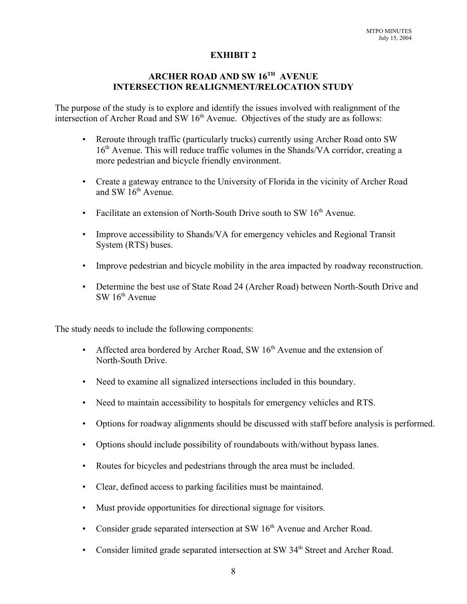#### **EXHIBIT 2**

## **ARCHER ROAD AND SW 16TH AVENUE INTERSECTION REALIGNMENT/RELOCATION STUDY**

The purpose of the study is to explore and identify the issues involved with realignment of the intersection of Archer Road and  $SW 16<sup>th</sup>$  Avenue. Objectives of the study are as follows:

- Reroute through traffic (particularly trucks) currently using Archer Road onto SW  $16<sup>th</sup>$  Avenue. This will reduce traffic volumes in the Shands/VA corridor, creating a more pedestrian and bicycle friendly environment.
- Create a gateway entrance to the University of Florida in the vicinity of Archer Road and SW  $16<sup>th</sup>$  Avenue.
- Facilitate an extension of North-South Drive south to SW  $16<sup>th</sup>$  Avenue.
- Improve accessibility to Shands/VA for emergency vehicles and Regional Transit System (RTS) buses.
- Improve pedestrian and bicycle mobility in the area impacted by roadway reconstruction.
- Determine the best use of State Road 24 (Archer Road) between North-South Drive and  $SW 16<sup>th</sup>$  Avenue

The study needs to include the following components:

- Affected area bordered by Archer Road, SW  $16<sup>th</sup>$  Avenue and the extension of North-South Drive.
- Need to examine all signalized intersections included in this boundary.
- Need to maintain accessibility to hospitals for emergency vehicles and RTS.
- Options for roadway alignments should be discussed with staff before analysis is performed.
- Options should include possibility of roundabouts with/without bypass lanes.
- Routes for bicycles and pedestrians through the area must be included.
- Clear, defined access to parking facilities must be maintained.
- Must provide opportunities for directional signage for visitors.
- Consider grade separated intersection at SW  $16<sup>th</sup>$  Avenue and Archer Road.
- Consider limited grade separated intersection at SW 34<sup>th</sup> Street and Archer Road.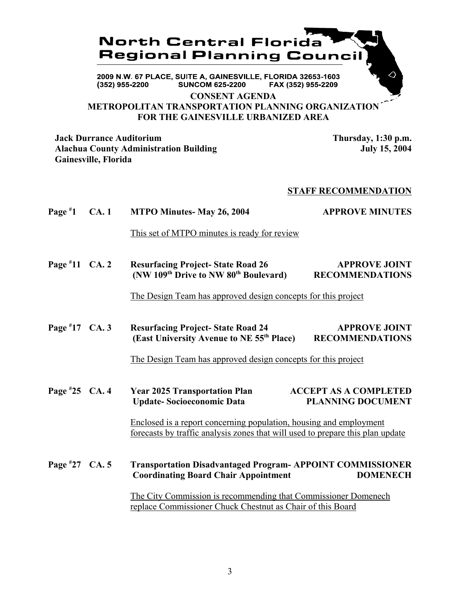

**CONSENT AGENDA**

**METROPOLITAN TRANSPORTATION PLANNING ORGANIZATION FOR THE GAINESVILLE URBANIZED AREA**

**Jack Durrance Auditorium 1988 120 UP 1:30 PM.**<br>Alachua County Administration Building 1990 1:30 UP 15.2004 **Alachua County Administration Building Gainesville, Florida**

#### **STAFF RECOMMENDATION**

**Page # 1 CA. 1 MTPO Minutes- May 26, 2004 4. APPROVE MINUTES** 

This set of MTPO minutes is ready for review

**Page # 11 CA. 2 Resurfacing Project-State Road 26 APPROVE JOINT (NW 109th Drive to NW 80th Boulevard) RECOMMENDATIONS**

The Design Team has approved design concepts for this project

**Page # 17 CALCER RESULTS:** Resurfacing Project- State Road 24 **APPROVE JOINT (East University Avenue to NE 55th Place) RECOMMENDATIONS**

The Design Team has approved design concepts for this project

**Page # 2025 Transportation Plan ACCEPT AS A COMPLETED Update- Socioeconomic Data PLANNING DOCUMENT**

> Enclosed is a report concerning population, housing and employment forecasts by traffic analysis zones that will used to prepare this plan update

Page #27 CA. 5 **Transportation Disadvantaged Program- APPOINT COMMISSIONER Coordinating Board Chair Appointment DOMENECH**

> The City Commission is recommending that Commissioner Domenech replace Commissioner Chuck Chestnut as Chair of this Board